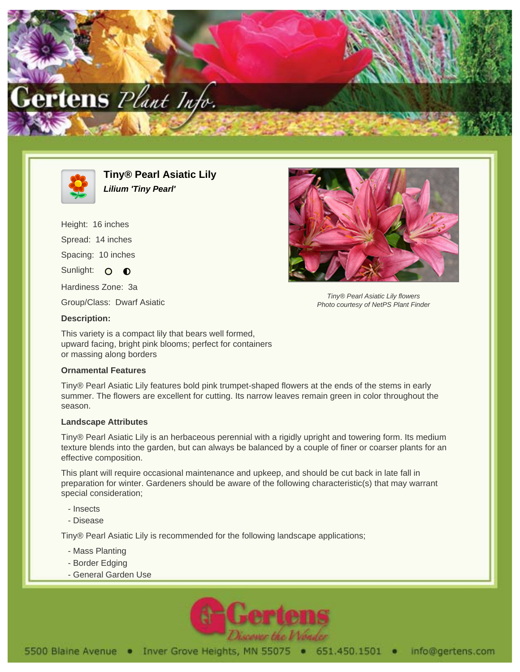



**Tiny® Pearl Asiatic Lily Lilium 'Tiny Pearl'**

Height: 16 inches Spread: 14 inches Spacing: 10 inches Sunlight: O O Hardiness Zone: 3a Group/Class: Dwarf Asiatic **Description:**

This variety is a compact lily that bears well formed, upward facing, bright pink blooms; perfect for containers or massing along borders

## **Ornamental Features**

Tiny® Pearl Asiatic Lily features bold pink trumpet-shaped flowers at the ends of the stems in early summer. The flowers are excellent for cutting. Its narrow leaves remain green in color throughout the season.

## **Landscape Attributes**

Tiny® Pearl Asiatic Lily is an herbaceous perennial with a rigidly upright and towering form. Its medium texture blends into the garden, but can always be balanced by a couple of finer or coarser plants for an effective composition.

This plant will require occasional maintenance and upkeep, and should be cut back in late fall in preparation for winter. Gardeners should be aware of the following characteristic(s) that may warrant special consideration;

- Insects
- Disease

Tiny® Pearl Asiatic Lily is recommended for the following landscape applications;

- Mass Planting
- Border Edging
- General Garden Use





Tiny® Pearl Asiatic Lily flowers Photo courtesy of NetPS Plant Finder